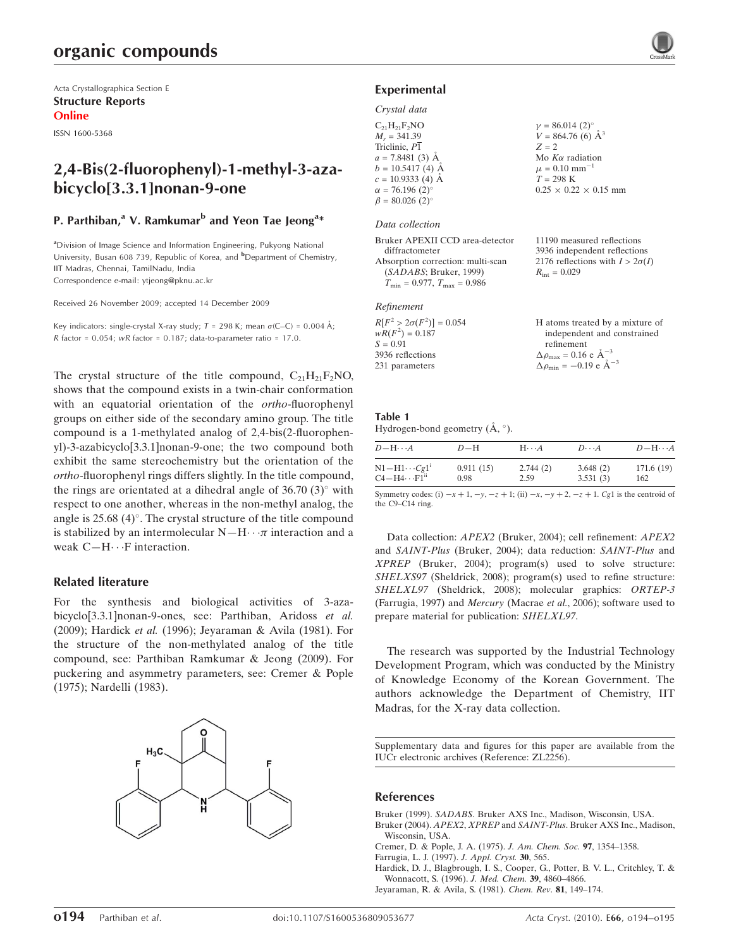Acta Crystallographica Section E Structure Reports Online

ISSN 1600-5368

# 2,4-Bis(2-fluorophenyl)-1-methyl-3-azabicyclo[3.3.1]nonan-9-one

#### P. Parthiban,<sup>a</sup> V. Ramkumar<sup>b</sup> and Yeon Tae Jeong<sup>a</sup>\*

<sup>a</sup>Division of Image Science and Information Engineering, Pukyong National University, Busan 608 739, Republic of Korea, and <sup>b</sup>Department of Chemistry, IIT Madras, Chennai, TamilNadu, India Correspondence e-mail: ytjeong@pknu.ac.kr

Received 26 November 2009; accepted 14 December 2009

Key indicators: single-crystal X-ray study;  $T = 298$  K; mean  $\sigma$ (C–C) = 0.004 Å; R factor =  $0.054$ ; wR factor =  $0.187$ ; data-to-parameter ratio = 17.0.

The crystal structure of the title compound,  $C_{21}H_{21}F_2NO$ , shows that the compound exists in a twin-chair conformation with an equatorial orientation of the ortho-fluorophenyl groups on either side of the secondary amino group. The title compound is a 1-methylated analog of 2,4-bis(2-fluorophenyl)-3-azabicyclo[3.3.1]nonan-9-one; the two compound both exhibit the same stereochemistry but the orientation of the ortho-fluorophenyl rings differs slightly. In the title compound, the rings are orientated at a dihedral angle of  $36.70(3)^\circ$  with respect to one another, whereas in the non-methyl analog, the angle is  $25.68$  (4)°. The crystal structure of the title compound is stabilized by an intermolecular  $N-H \cdot \cdot \pi$  interaction and a weak  $C-H \cdots F$  interaction.

#### Related literature

For the synthesis and biological activities of 3-azabicyclo[3.3.1]nonan-9-ones, see: Parthiban, Aridoss et al. (2009); Hardick et al. (1996); Jeyaraman & Avila (1981). For the structure of the non-methylated analog of the title compound, see: Parthiban Ramkumar & Jeong (2009). For puckering and asymmetry parameters, see: Cremer & Pople (1975); Nardelli (1983).



#### Experimental

#### Crystal data

| $C_{21}H_{21}F_2NO$               | $\gamma=86.014~(2)^\circ$         |
|-----------------------------------|-----------------------------------|
| $M_r = 341.39$                    | $V = 864.76(6)$ Å <sup>3</sup>    |
| Triclinic, P1                     | $Z = 2$                           |
| $a = 7.8481(3)$ Å                 | Mo $K\alpha$ radiation            |
| $b = 10.5417(4)$ Å                | $\mu = 0.10$ mm <sup>-1</sup>     |
| $c = 10.9333(4)$ Å                | $T = 298$ K                       |
| $\alpha = 76.196(2)$ °            | $0.25 \times 0.22 \times 0.15$ mm |
| $\beta = 80.026$ (2) <sup>o</sup> |                                   |
|                                   |                                   |

#### Data collection

| Bruker APEXII CCD area-detector                  | 11190 measured reflections             |
|--------------------------------------------------|----------------------------------------|
| diffractometer                                   | 3936 independent reflections           |
| Absorption correction: multi-scan                | 2176 reflections with $I > 2\sigma(I)$ |
| (SADABS; Bruker, 1999)                           | $R_{\rm int} = 0.029$                  |
| $T_{\text{min}} = 0.977, T_{\text{max}} = 0.986$ |                                        |
|                                                  |                                        |

| Refinement                      |                                                       |
|---------------------------------|-------------------------------------------------------|
| $R[F^2 > 2\sigma(F^2)] = 0.054$ | H atoms treated by a mixture of                       |
| $wR(F^2) = 0.187$               | independent and constrained                           |
| $S = 0.91$                      | refinement                                            |
| 3936 reflections                | $\Delta \rho_{\text{max}} = 0.16$ e $\text{\AA}^{-3}$ |
| 231 parameters                  | $\Delta \rho_{\text{min}} = -0.19$ e $\AA^{-3}$       |

#### Table 1 Hydrogen-bond geometry  $(\AA, \degree)$ .

| $D - H \cdots A$         | $D-H$     | $H \cdot \cdot \cdot A$ | $D\cdots A$ | $D - H \cdots A$ |
|--------------------------|-----------|-------------------------|-------------|------------------|
| $N1 - H1 \cdots Cg1$     | 0.911(15) | 2.744(2)                | 3.648(2)    | 171.6(19)        |
| $C4 - H4 \cdots F1^{ii}$ | 0.98      | 2.59                    | 3.531(3)    | 162              |

Symmetry codes: (i)  $-x + 1$ ,  $-y$ ,  $-z + 1$ ; (ii)  $-x$ ,  $-y + 2$ ,  $-z + 1$ . Cg1 is the centroid of the C9–C14 ring.

Data collection: APEX2 (Bruker, 2004); cell refinement: APEX2 and SAINT-Plus (Bruker, 2004); data reduction: SAINT-Plus and XPREP (Bruker, 2004); program(s) used to solve structure: SHELXS97 (Sheldrick, 2008); program(s) used to refine structure: SHELXL97 (Sheldrick, 2008); molecular graphics: ORTEP-3 (Farrugia, 1997) and Mercury (Macrae et al., 2006); software used to prepare material for publication: SHELXL97.

The research was supported by the Industrial Technology Development Program, which was conducted by the Ministry of Knowledge Economy of the Korean Government. The authors acknowledge the Department of Chemistry, IIT Madras, for the X-ray data collection.

Supplementary data and figures for this paper are available from the IUCr electronic archives (Reference: ZL2256).

#### References

Bruker (1999). SADABS[. Bruker AXS Inc., Madison, Wisconsin, USA.](http://scripts.iucr.org/cgi-bin/cr.cgi?rm=pdfbb&cnor=zl2256&bbid=BB1) Bruker (2004). APEX2, XPREP and SAINT-Plus[. Bruker AXS Inc., Madison,](http://scripts.iucr.org/cgi-bin/cr.cgi?rm=pdfbb&cnor=zl2256&bbid=BB2) [Wisconsin, USA.](http://scripts.iucr.org/cgi-bin/cr.cgi?rm=pdfbb&cnor=zl2256&bbid=BB2)

- [Cremer, D. & Pople, J. A. \(1975\).](http://scripts.iucr.org/cgi-bin/cr.cgi?rm=pdfbb&cnor=zl2256&bbid=BB3) J. Am. Chem. Soc. 97, 1354–1358.
- [Farrugia, L. J. \(1997\).](http://scripts.iucr.org/cgi-bin/cr.cgi?rm=pdfbb&cnor=zl2256&bbid=BB4) J. Appl. Cryst. 30, 565.

[Hardick, D. J., Blagbrough, I. S., Cooper, G., Potter, B. V. L., Critchley, T. &](http://scripts.iucr.org/cgi-bin/cr.cgi?rm=pdfbb&cnor=zl2256&bbid=BB5) [Wonnacott, S. \(1996\).](http://scripts.iucr.org/cgi-bin/cr.cgi?rm=pdfbb&cnor=zl2256&bbid=BB5) J. Med. Chem. 39, 4860–4866.

[Jeyaraman, R. & Avila, S. \(1981\).](http://scripts.iucr.org/cgi-bin/cr.cgi?rm=pdfbb&cnor=zl2256&bbid=BB6) Chem. Rev. 81, 149–174.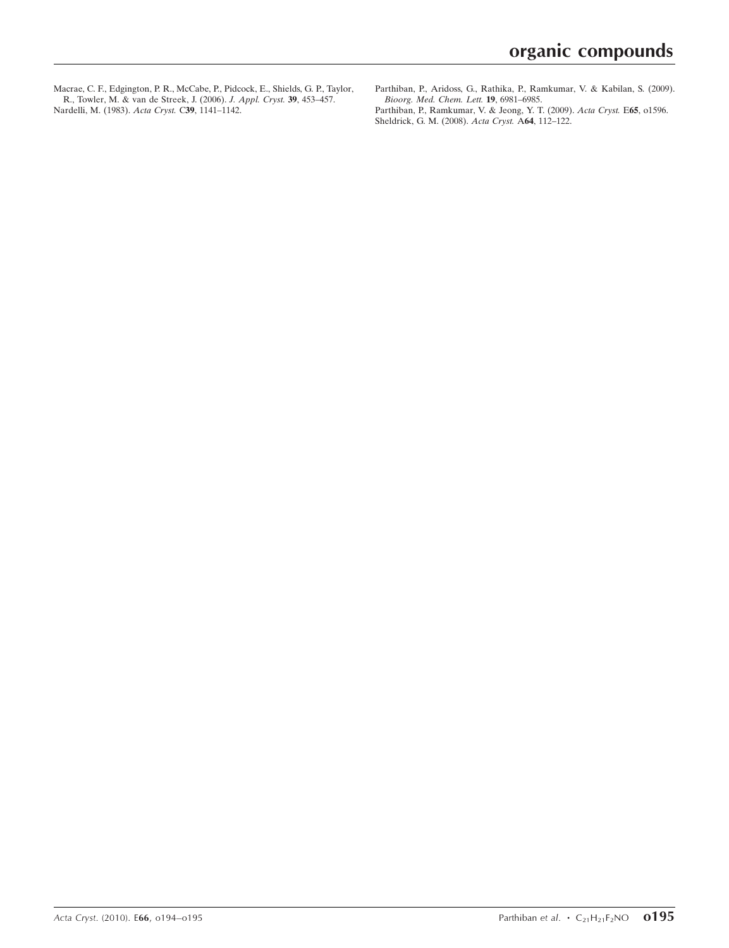[Macrae, C. F., Edgington, P. R., McCabe, P., Pidcock, E., Shields, G. P., Taylor,](http://scripts.iucr.org/cgi-bin/cr.cgi?rm=pdfbb&cnor=zl2256&bbid=BB7) [R., Towler, M. & van de Streek, J. \(2006\).](http://scripts.iucr.org/cgi-bin/cr.cgi?rm=pdfbb&cnor=zl2256&bbid=BB7) J. Appl. Cryst. 39, 453–457. [Nardelli, M. \(1983\).](http://scripts.iucr.org/cgi-bin/cr.cgi?rm=pdfbb&cnor=zl2256&bbid=BB8) Acta Cryst. C39, 1141–1142.

- [Parthiban, P., Aridoss, G., Rathika, P., Ramkumar, V. & Kabilan, S. \(2009\).](http://scripts.iucr.org/cgi-bin/cr.cgi?rm=pdfbb&cnor=zl2256&bbid=BB9) [Bioorg. Med. Chem. Lett.](http://scripts.iucr.org/cgi-bin/cr.cgi?rm=pdfbb&cnor=zl2256&bbid=BB9) 19, 6981–6985.
- [Parthiban, P., Ramkumar, V. & Jeong, Y. T. \(2009\).](http://scripts.iucr.org/cgi-bin/cr.cgi?rm=pdfbb&cnor=zl2256&bbid=BB10) Acta Cryst. E65, 01596. [Sheldrick, G. M. \(2008\).](http://scripts.iucr.org/cgi-bin/cr.cgi?rm=pdfbb&cnor=zl2256&bbid=BB11) Acta Cryst. A64, 112–122.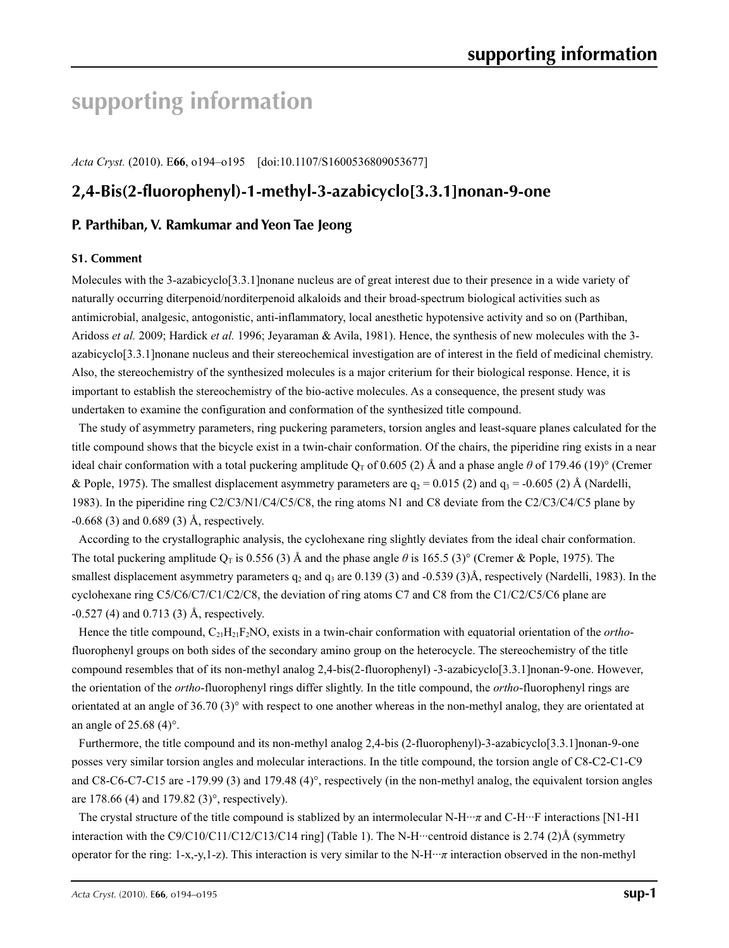# **supporting information**

*Acta Cryst.* (2010). E**66**, o194–o195 [doi:10.1107/S1600536809053677]

# **2,4-Bis(2-fluorophenyl)-1-methyl-3-azabicyclo[3.3.1]nonan-9-one**

## **P. Parthiban, V. Ramkumar and Yeon Tae Jeong**

#### **S1. Comment**

Molecules with the 3-azabicyclo<sup>[3.3.1]</sup>nonane nucleus are of great interest due to their presence in a wide variety of naturally occurring diterpenoid/norditerpenoid alkaloids and their broad-spectrum biological activities such as antimicrobial, analgesic, antogonistic, anti-inflammatory, local anesthetic hypotensive activity and so on (Parthiban, Aridoss *et al.* 2009; Hardick *et al.* 1996; Jeyaraman & Avila, 1981). Hence, the synthesis of new molecules with the 3 azabicyclo[3.3.1]nonane nucleus and their stereochemical investigation are of interest in the field of medicinal chemistry. Also, the stereochemistry of the synthesized molecules is a major criterium for their biological response. Hence, it is important to establish the stereochemistry of the bio-active molecules. As a consequence, the present study was undertaken to examine the configuration and conformation of the synthesized title compound.

The study of asymmetry parameters, ring puckering parameters, torsion angles and least-square planes calculated for the title compound shows that the bicycle exist in a twin-chair conformation. Of the chairs, the piperidine ring exists in a near ideal chair conformation with a total puckering amplitude  $Q_T$  of 0.605 (2) Å and a phase angle  $\theta$  of 179.46 (19)° (Cremer & Pople, 1975). The smallest displacement asymmetry parameters are  $q_2 = 0.015$  (2) and  $q_3 = -0.605$  (2) Å (Nardelli, 1983). In the piperidine ring C2/C3/N1/C4/C5/C8, the ring atoms N1 and C8 deviate from the C2/C3/C4/C5 plane by -0.668 (3) and 0.689 (3) Å, respectively.

According to the crystallographic analysis, the cyclohexane ring slightly deviates from the ideal chair conformation. The total puckering amplitude  $Q_T$  is 0.556 (3) Å and the phase angle  $\theta$  is 165.5 (3)° (Cremer & Pople, 1975). The smallest displacement asymmetry parameters  $q_2$  and  $q_3$  are 0.139 (3) and -0.539 (3)Å, respectively (Nardelli, 1983). In the cyclohexane ring C5/C6/C7/C1/C2/C8, the deviation of ring atoms C7 and C8 from the C1/C2/C5/C6 plane are -0.527 (4) and 0.713 (3) Å, respectively.

Hence the title compound, C21H21F2NO, exists in a twin-chair conformation with equatorial orientation of the *ortho*fluorophenyl groups on both sides of the secondary amino group on the heterocycle. The stereochemistry of the title compound resembles that of its non-methyl analog 2,4-bis(2-fluorophenyl) -3-azabicyclo[3.3.1]nonan-9-one. However, the orientation of the *ortho*-fluorophenyl rings differ slightly. In the title compound, the *ortho*-fluorophenyl rings are orientated at an angle of  $36.70\,(3)^\circ$  with respect to one another whereas in the non-methyl analog, they are orientated at an angle of 25.68 (4)°.

Furthermore, the title compound and its non-methyl analog 2,4-bis (2-fluorophenyl)-3-azabicyclo[3.3.1]nonan-9-one posses very similar torsion angles and molecular interactions. In the title compound, the torsion angle of C8-C2-C1-C9 and C8-C6-C7-C15 are -179.99 (3) and 179.48 (4)°, respectively (in the non-methyl analog, the equivalent torsion angles are 178.66 (4) and 179.82 (3)°, respectively).

The crystal structure of the title compound is stablized by an intermolecular N-H···*π* and C-H···F interactions [N1-H1 interaction with the C9/C10/C11/C12/C13/C14 ring] (Table 1). The N-H···centroid distance is 2.74 (2)Å (symmetry operator for the ring: 1-x,-y,1-z). This interaction is very similar to the N-H···*π* interaction observed in the non-methyl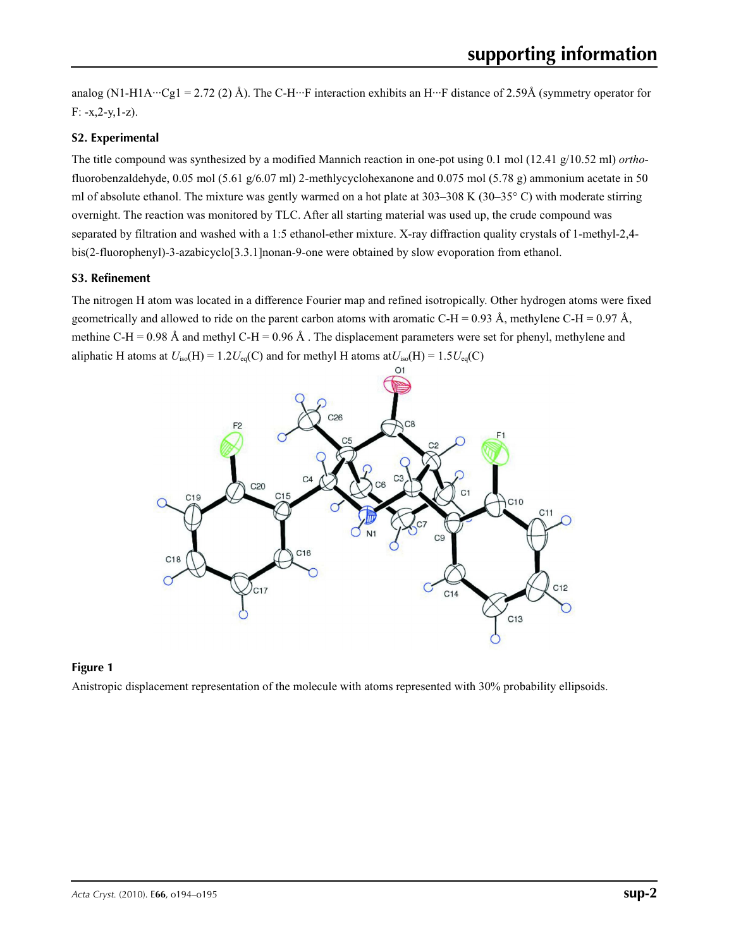analog (N1-H1A···Cg1 = 2.72 (2) Å). The C-H···F interaction exhibits an H···F distance of 2.59Å (symmetry operator for  $F: -x, 2-y, 1-z$ .

#### **S2. Experimental**

The title compound was synthesized by a modified Mannich reaction in one-pot using 0.1 mol (12.41 g/10.52 ml) *ortho*fluorobenzaldehyde, 0.05 mol (5.61 g/6.07 ml) 2-methlycyclohexanone and 0.075 mol (5.78 g) ammonium acetate in 50 ml of absolute ethanol. The mixture was gently warmed on a hot plate at 303–308 K (30–35° C) with moderate stirring overnight. The reaction was monitored by TLC. After all starting material was used up, the crude compound was separated by filtration and washed with a 1:5 ethanol-ether mixture. X-ray diffraction quality crystals of 1-methyl-2,4 bis(2-fluorophenyl)-3-azabicyclo[3.3.1]nonan-9-one were obtained by slow evoporation from ethanol.

#### **S3. Refinement**

The nitrogen H atom was located in a difference Fourier map and refined isotropically. Other hydrogen atoms were fixed geometrically and allowed to ride on the parent carbon atoms with aromatic C-H = 0.93 Å, methylene C-H = 0.97 Å, methine C-H = 0.98 Å and methyl C-H = 0.96 Å. The displacement parameters were set for phenyl, methylene and aliphatic H atoms at  $U_{iso}(H) = 1.2U_{eq}(C)$  and for methyl H atoms at  $U_{iso}(H) = 1.5U_{eq}(C)$ 



#### **Figure 1**

Anistropic displacement representation of the molecule with atoms represented with 30% probability ellipsoids.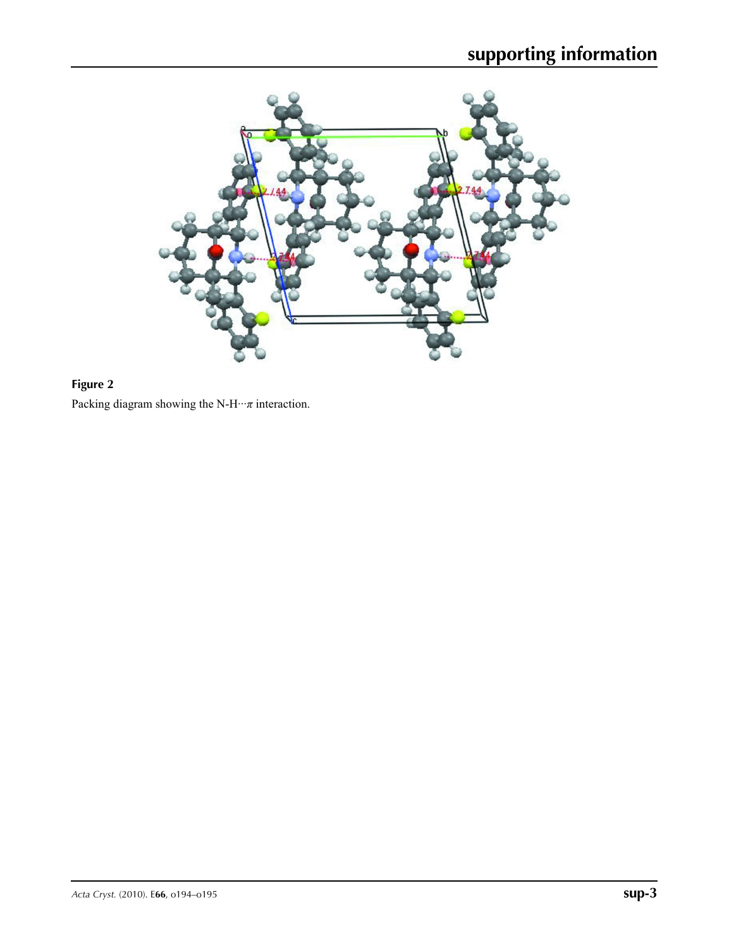

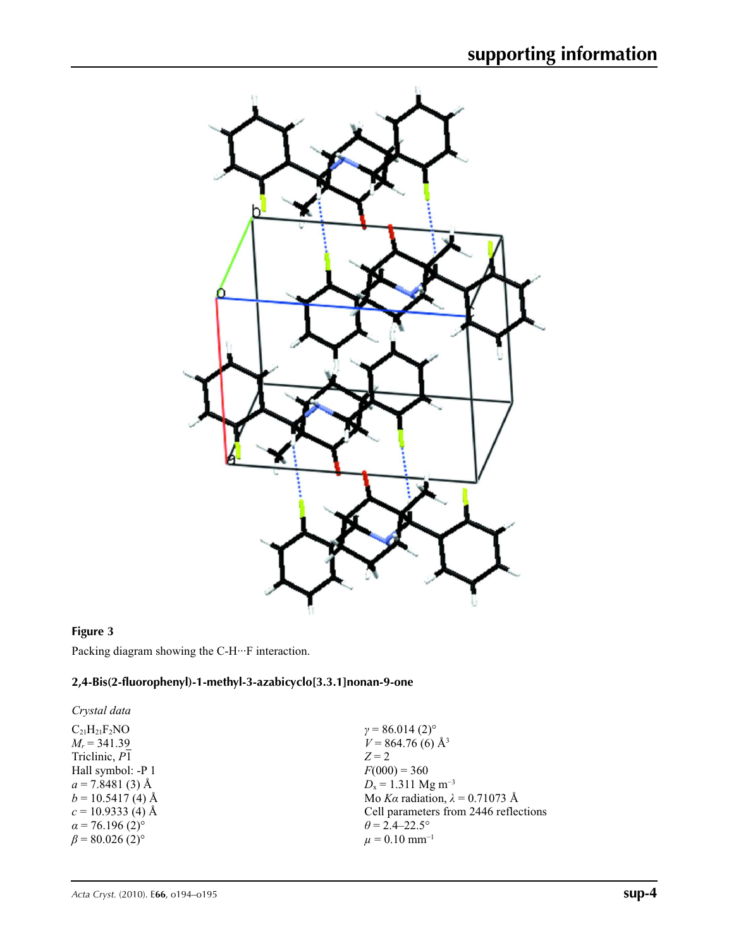

#### **Figure 3**

Packing diagram showing the C-H···F interaction.

#### **2,4-Bis(2-fluorophenyl)-1-methyl-3-azabicyclo[3.3.1]nonan-9-one**

*Crystal data*  $\rm{C_{21}H_{21}F_2NO}$  $M_r = 341.39$ Triclinic, *P*1 Hall symbol: -P 1  $a = 7.8481(3)$  Å  $b = 10.5417(4)$  Å  $c = 10.9333$  (4) Å

 $\alpha$  = 76.196 (2)<sup>°</sup>  $\beta$  = 80.026 (2)<sup>°</sup>  $\gamma$  = 86.014 (2)<sup>o</sup>  $V = 864.76(6)$  Å<sup>3</sup> *Z* = 2  $F(000) = 360$ *D*<sub>x</sub> = 1.311 Mg m<sup>-3</sup> Mo *Kα* radiation, *λ* = 0.71073 Å Cell parameters from 2446 reflections  $\theta$  = 2.4–22.5°  $\mu$  = 0.10 mm<sup>-1</sup>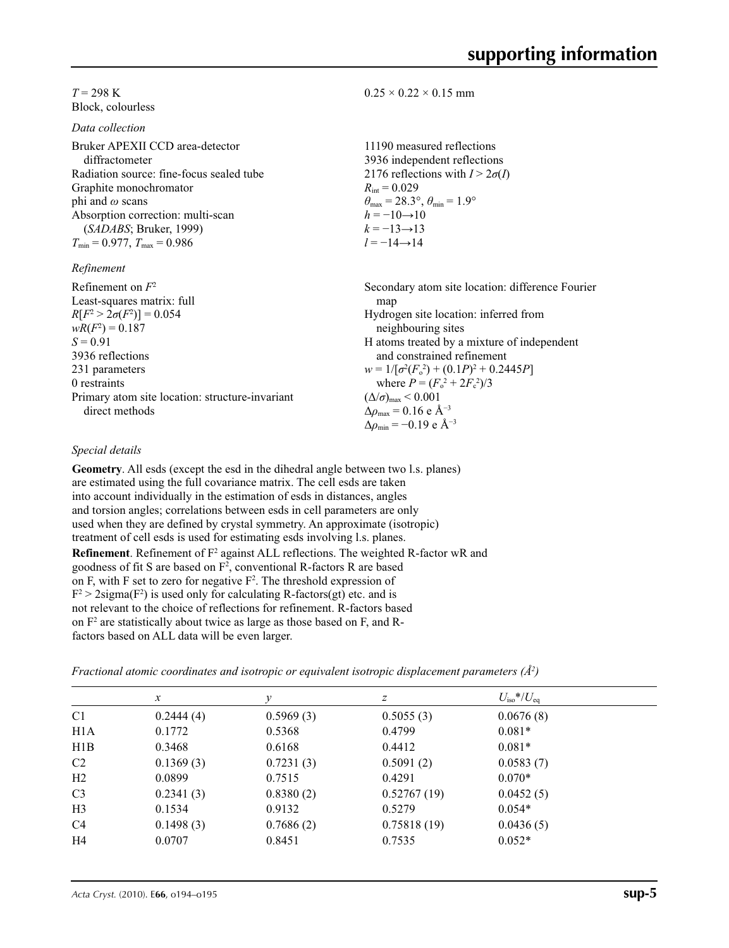$0.25 \times 0.22 \times 0.15$  mm

 $R_{\text{int}} = 0.029$ 

 $h = -10 \rightarrow 10$  $k = -13 \rightarrow 13$ *l* = −14→14

11190 measured reflections 3936 independent reflections 2176 reflections with  $I > 2\sigma(I)$ 

 $\theta_{\text{max}} = 28.3^{\circ}, \theta_{\text{min}} = 1.9^{\circ}$ 

#### $T = 298$  K Block, colourless

*Data collection*

| Bruker APEXII CCD area-detector          |
|------------------------------------------|
| diffractometer                           |
| Radiation source: fine-focus sealed tube |
| Graphite monochromator                   |
| phi and $\omega$ scans                   |
| Absorption correction: multi-scan        |
| (SADABS; Bruker, 1999)                   |
| $T_{\min}$ = 0.977, $T_{\max}$ = 0.986   |
|                                          |

#### *Refinement*

| Refinement on $F^2$                             | Secondary atom site location: difference Fourier   |
|-------------------------------------------------|----------------------------------------------------|
| Least-squares matrix: full                      | map                                                |
| $R[F^2 > 2\sigma(F^2)] = 0.054$                 | Hydrogen site location: inferred from              |
| $wR(F^2) = 0.187$                               | neighbouring sites                                 |
| $S = 0.91$                                      | H atoms treated by a mixture of independent        |
| 3936 reflections                                | and constrained refinement                         |
| 231 parameters                                  | $w = 1/[\sigma^2(F_0^2) + (0.1P)^2 + 0.2445P]$     |
| 0 restraints                                    | where $P = (F_o^2 + 2F_c^2)/3$                     |
| Primary atom site location: structure-invariant | $(\Delta/\sigma)_{\text{max}}$ < 0.001             |
| direct methods                                  | $\Delta \rho_{\text{max}} = 0.16 \text{ e A}^{-3}$ |
|                                                 | $\Delta \rho_{\rm min} = -0.19$ e $\rm \AA^{-3}$   |

### *Special details*

**Geometry**. All esds (except the esd in the dihedral angle between two l.s. planes) are estimated using the full covariance matrix. The cell esds are taken into account individually in the estimation of esds in distances, angles and torsion angles; correlations between esds in cell parameters are only used when they are defined by crystal symmetry. An approximate (isotropic) treatment of cell esds is used for estimating esds involving l.s. planes. **Refinement**. Refinement of F<sup>2</sup> against ALL reflections. The weighted R-factor wR and goodness of fit S are based on  $F^2$ , conventional R-factors R are based on F, with F set to zero for negative  $F^2$ . The threshold expression of  $F^2 > 2$ sigma( $F^2$ ) is used only for calculating R-factors(gt) etc. and is not relevant to the choice of reflections for refinement. R-factors based on F2 are statistically about twice as large as those based on F, and Rfactors based on ALL data will be even larger.

*Fractional atomic coordinates and isotropic or equivalent isotropic displacement parameters (Å2 )*

|                  | $\mathcal{X}$ | v         | Ζ           | $U_{\rm iso}$ */ $U_{\rm eq}$ |  |
|------------------|---------------|-----------|-------------|-------------------------------|--|
| C <sub>1</sub>   | 0.2444(4)     | 0.5969(3) | 0.5055(3)   | 0.0676(8)                     |  |
| H <sub>1</sub> A | 0.1772        | 0.5368    | 0.4799      | $0.081*$                      |  |
| H1B              | 0.3468        | 0.6168    | 0.4412      | $0.081*$                      |  |
| C <sub>2</sub>   | 0.1369(3)     | 0.7231(3) | 0.5091(2)   | 0.0583(7)                     |  |
| H2               | 0.0899        | 0.7515    | 0.4291      | $0.070*$                      |  |
| C <sub>3</sub>   | 0.2341(3)     | 0.8380(2) | 0.52767(19) | 0.0452(5)                     |  |
| H <sub>3</sub>   | 0.1534        | 0.9132    | 0.5279      | $0.054*$                      |  |
| C <sub>4</sub>   | 0.1498(3)     | 0.7686(2) | 0.75818(19) | 0.0436(5)                     |  |
| H <sub>4</sub>   | 0.0707        | 0.8451    | 0.7535      | $0.052*$                      |  |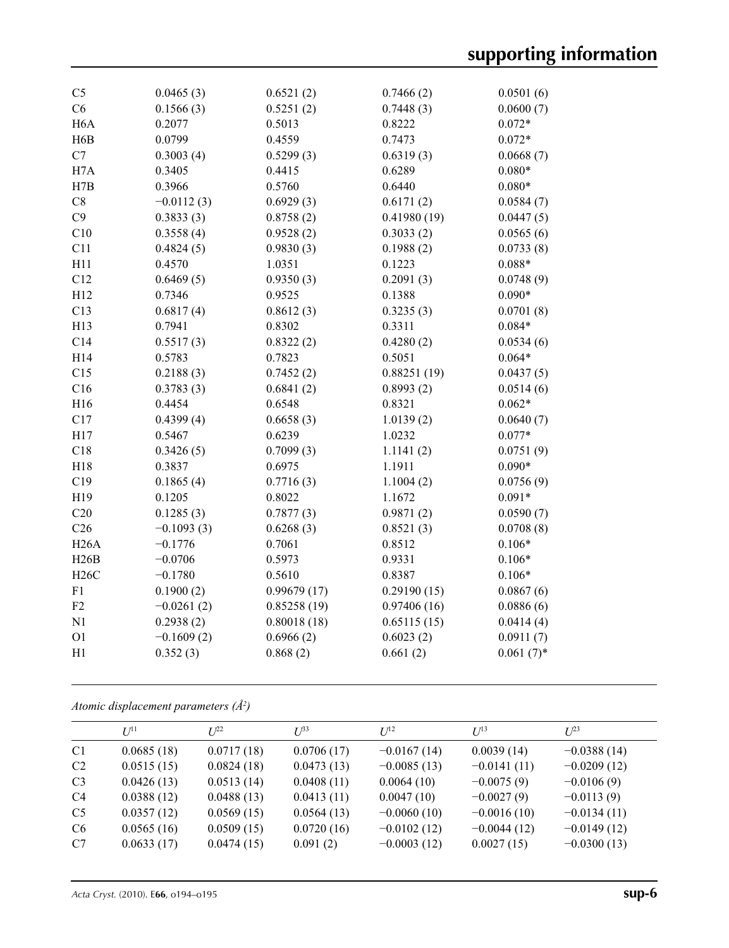| C <sub>5</sub>   | 0.0465(3)    | 0.6521(2)   | 0.7466(2)   | 0.0501(6)    |
|------------------|--------------|-------------|-------------|--------------|
| C6               | 0.1566(3)    | 0.5251(2)   | 0.7448(3)   | 0.0600(7)    |
| H <sub>6</sub> A | 0.2077       | 0.5013      | 0.8222      | $0.072*$     |
| H <sub>6</sub> B | 0.0799       | 0.4559      | 0.7473      | $0.072*$     |
| C7               | 0.3003(4)    | 0.5299(3)   | 0.6319(3)   | 0.0668(7)    |
| H7A              | 0.3405       | 0.4415      | 0.6289      | $0.080*$     |
| H7B              | 0.3966       | 0.5760      | 0.6440      | $0.080*$     |
| C8               | $-0.0112(3)$ | 0.6929(3)   | 0.6171(2)   | 0.0584(7)    |
| C9               | 0.3833(3)    | 0.8758(2)   | 0.41980(19) | 0.0447(5)    |
| C10              | 0.3558(4)    | 0.9528(2)   | 0.3033(2)   | 0.0565(6)    |
| C11              | 0.4824(5)    | 0.9830(3)   | 0.1988(2)   | 0.0733(8)    |
| H11              | 0.4570       | 1.0351      | 0.1223      | $0.088*$     |
| C12              | 0.6469(5)    | 0.9350(3)   | 0.2091(3)   | 0.0748(9)    |
| H12              | 0.7346       | 0.9525      | 0.1388      | $0.090*$     |
| C13              | 0.6817(4)    | 0.8612(3)   | 0.3235(3)   | 0.0701(8)    |
| H13              | 0.7941       | 0.8302      | 0.3311      | $0.084*$     |
| C14              | 0.5517(3)    | 0.8322(2)   | 0.4280(2)   | 0.0534(6)    |
| H14              | 0.5783       | 0.7823      | 0.5051      | $0.064*$     |
| C15              | 0.2188(3)    | 0.7452(2)   | 0.88251(19) | 0.0437(5)    |
| C16              | 0.3783(3)    | 0.6841(2)   | 0.8993(2)   | 0.0514(6)    |
| H16              | 0.4454       | 0.6548      | 0.8321      | $0.062*$     |
| C17              | 0.4399(4)    | 0.6658(3)   | 1.0139(2)   | 0.0640(7)    |
| H17              | 0.5467       | 0.6239      | 1.0232      | $0.077*$     |
| C18              | 0.3426(5)    | 0.7099(3)   | 1.1141(2)   | 0.0751(9)    |
| H18              | 0.3837       | 0.6975      | 1.1911      | $0.090*$     |
| C19              | 0.1865(4)    | 0.7716(3)   | 1.1004(2)   | 0.0756(9)    |
| H19              | 0.1205       | 0.8022      | 1.1672      | $0.091*$     |
| C20              | 0.1285(3)    | 0.7877(3)   | 0.9871(2)   | 0.0590(7)    |
| C <sub>26</sub>  | $-0.1093(3)$ | 0.6268(3)   | 0.8521(3)   | 0.0708(8)    |
| H26A             | $-0.1776$    | 0.7061      | 0.8512      | $0.106*$     |
| H26B             | $-0.0706$    | 0.5973      | 0.9331      | $0.106*$     |
| H26C             | $-0.1780$    | 0.5610      | 0.8387      | $0.106*$     |
| F1               | 0.1900(2)    | 0.99679(17) | 0.29190(15) | 0.0867(6)    |
| F2               | $-0.0261(2)$ | 0.85258(19) | 0.97406(16) | 0.0886(6)    |
| N1               | 0.2938(2)    | 0.80018(18) | 0.65115(15) | 0.0414(4)    |
| O <sub>1</sub>   | $-0.1609(2)$ | 0.6966(2)   | 0.6023(2)   | 0.0911(7)    |
| H1               | 0.352(3)     | 0.868(2)    | 0.661(2)    | $0.061(7)$ * |
|                  |              |             |             |              |

*Atomic displacement parameters (Å2 )*

|                | I/I <sup>11</sup> | $L^{22}$   | $I^{\beta 3}$ | $U^{12}$      | $U^{13}$      | $I^{23}$      |
|----------------|-------------------|------------|---------------|---------------|---------------|---------------|
| C <sub>1</sub> | 0.0685(18)        | 0.0717(18) | 0.0706(17)    | $-0.0167(14)$ | 0.0039(14)    | $-0.0388(14)$ |
| C <sub>2</sub> | 0.0515(15)        | 0.0824(18) | 0.0473(13)    | $-0.0085(13)$ | $-0.0141(11)$ | $-0.0209(12)$ |
| C <sub>3</sub> | 0.0426(13)        | 0.0513(14) | 0.0408(11)    | 0.0064(10)    | $-0.0075(9)$  | $-0.0106(9)$  |
| C <sub>4</sub> | 0.0388(12)        | 0.0488(13) | 0.0413(11)    | 0.0047(10)    | $-0.0027(9)$  | $-0.0113(9)$  |
| C <sub>5</sub> | 0.0357(12)        | 0.0569(15) | 0.0564(13)    | $-0.0060(10)$ | $-0.0016(10)$ | $-0.0134(11)$ |
| C6             | 0.0565(16)        | 0.0509(15) | 0.0720(16)    | $-0.0102(12)$ | $-0.0044(12)$ | $-0.0149(12)$ |
| C7             | 0.0633(17)        | 0.0474(15) | 0.091(2)      | $-0.0003(12)$ | 0.0027(15)    | $-0.0300(13)$ |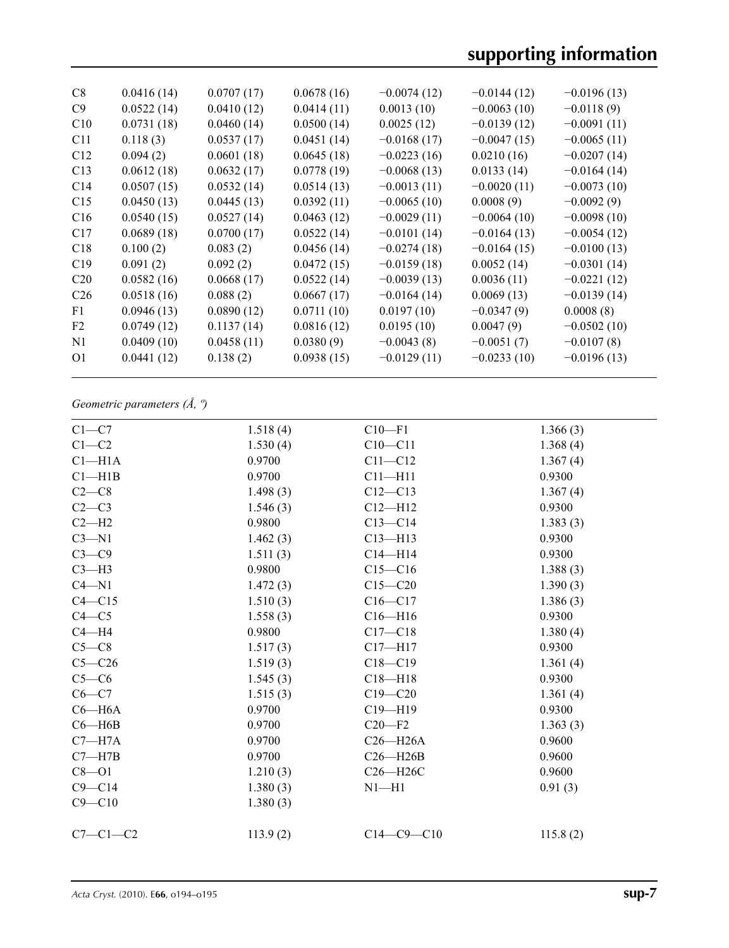| C8              | 0.0416(14) | 0.0707(17) | 0.0678(16) | $-0.0074(12)$ | $-0.0144(12)$ | $-0.0196(13)$ |
|-----------------|------------|------------|------------|---------------|---------------|---------------|
| C9              | 0.0522(14) | 0.0410(12) | 0.0414(11) | 0.0013(10)    | $-0.0063(10)$ | $-0.0118(9)$  |
| C10             | 0.0731(18) | 0.0460(14) | 0.0500(14) | 0.0025(12)    | $-0.0139(12)$ | $-0.0091(11)$ |
| C11             | 0.118(3)   | 0.0537(17) | 0.0451(14) | $-0.0168(17)$ | $-0.0047(15)$ | $-0.0065(11)$ |
| C12             | 0.094(2)   | 0.0601(18) | 0.0645(18) | $-0.0223(16)$ | 0.0210(16)    | $-0.0207(14)$ |
| C13             | 0.0612(18) | 0.0632(17) | 0.0778(19) | $-0.0068(13)$ | 0.0133(14)    | $-0.0164(14)$ |
| C <sub>14</sub> | 0.0507(15) | 0.0532(14) | 0.0514(13) | $-0.0013(11)$ | $-0.0020(11)$ | $-0.0073(10)$ |
| C15             | 0.0450(13) | 0.0445(13) | 0.0392(11) | $-0.0065(10)$ | 0.0008(9)     | $-0.0092(9)$  |
| C16             | 0.0540(15) | 0.0527(14) | 0.0463(12) | $-0.0029(11)$ | $-0.0064(10)$ | $-0.0098(10)$ |
| C17             | 0.0689(18) | 0.0700(17) | 0.0522(14) | $-0.0101(14)$ | $-0.0164(13)$ | $-0.0054(12)$ |
| C18             | 0.100(2)   | 0.083(2)   | 0.0456(14) | $-0.0274(18)$ | $-0.0164(15)$ | $-0.0100(13)$ |
| C19             | 0.091(2)   | 0.092(2)   | 0.0472(15) | $-0.0159(18)$ | 0.0052(14)    | $-0.0301(14)$ |
| C <sub>20</sub> | 0.0582(16) | 0.0668(17) | 0.0522(14) | $-0.0039(13)$ | 0.0036(11)    | $-0.0221(12)$ |
| C <sub>26</sub> | 0.0518(16) | 0.088(2)   | 0.0667(17) | $-0.0164(14)$ | 0.0069(13)    | $-0.0139(14)$ |
| F1              | 0.0946(13) | 0.0890(12) | 0.0711(10) | 0.0197(10)    | $-0.0347(9)$  | 0.0008(8)     |
| F <sub>2</sub>  | 0.0749(12) | 0.1137(14) | 0.0816(12) | 0.0195(10)    | 0.0047(9)     | $-0.0502(10)$ |
| N1              | 0.0409(10) | 0.0458(11) | 0.0380(9)  | $-0.0043(8)$  | $-0.0051(7)$  | $-0.0107(8)$  |
| O <sub>1</sub>  | 0.0441(12) | 0.138(2)   | 0.0938(15) | $-0.0129(11)$ | $-0.0233(10)$ | $-0.0196(13)$ |
|                 |            |            |            |               |               |               |

## *Geometric parameters (Å, º)*

| $C1-C7$            | 1.518(4) | $C10-F1$         | 1.366(3) |
|--------------------|----------|------------------|----------|
| $C1-C2$            | 1.530(4) | $C10 - C11$      | 1.368(4) |
| Cl <sub>–H1A</sub> | 0.9700   | $C11 - C12$      | 1.367(4) |
| Cl—H1B             | 0.9700   | $C11 - H11$      | 0.9300   |
| $C2-C8$            | 1.498(3) | $C12-C13$        | 1.367(4) |
| $C2-C3$            | 1.546(3) | $C12 - H12$      | 0.9300   |
| $C2-H2$            | 0.9800   | $C13-C14$        | 1.383(3) |
| $C3 - N1$          | 1.462(3) | $C13 - H13$      | 0.9300   |
| $C3-C9$            | 1.511(3) | $C14 - H14$      | 0.9300   |
| $C3-H3$            | 0.9800   | $C15-C16$        | 1.388(3) |
| $C4 - N1$          | 1.472(3) | $C15 - C20$      | 1.390(3) |
| $C4 - C15$         | 1.510(3) | $C16-C17$        | 1.386(3) |
| $C4 - C5$          | 1.558(3) | $C16 - H16$      | 0.9300   |
| $C4 - H4$          | 0.9800   | $C17 - C18$      | 1.380(4) |
| $C5-C8$            | 1.517(3) | $C17 - H17$      | 0.9300   |
| $C5 - C26$         | 1.519(3) | $C18 - C19$      | 1.361(4) |
| $C5-C6$            | 1.545(3) | $C18 - H18$      | 0.9300   |
| $C6 - C7$          | 1.515(3) | $C19 - C20$      | 1.361(4) |
| $C6 - H6A$         | 0.9700   | $C19 - H19$      | 0.9300   |
| $C6 - H6B$         | 0.9700   | $C20-F2$         | 1.363(3) |
| $C7 - H7A$         | 0.9700   | $C26 - H26A$     | 0.9600   |
| $C7 - H7B$         | 0.9700   | $C26 - H26B$     | 0.9600   |
| $C8 - O1$          | 1.210(3) | $C26 - H26C$     | 0.9600   |
| $C9 - C14$         | 1.380(3) | $N1 - H1$        | 0.91(3)  |
| $C9 - C10$         | 1.380(3) |                  |          |
| $C7-C1-C2$         | 113.9(2) | $C14 - C9 - C10$ | 115.8(2) |
|                    |          |                  |          |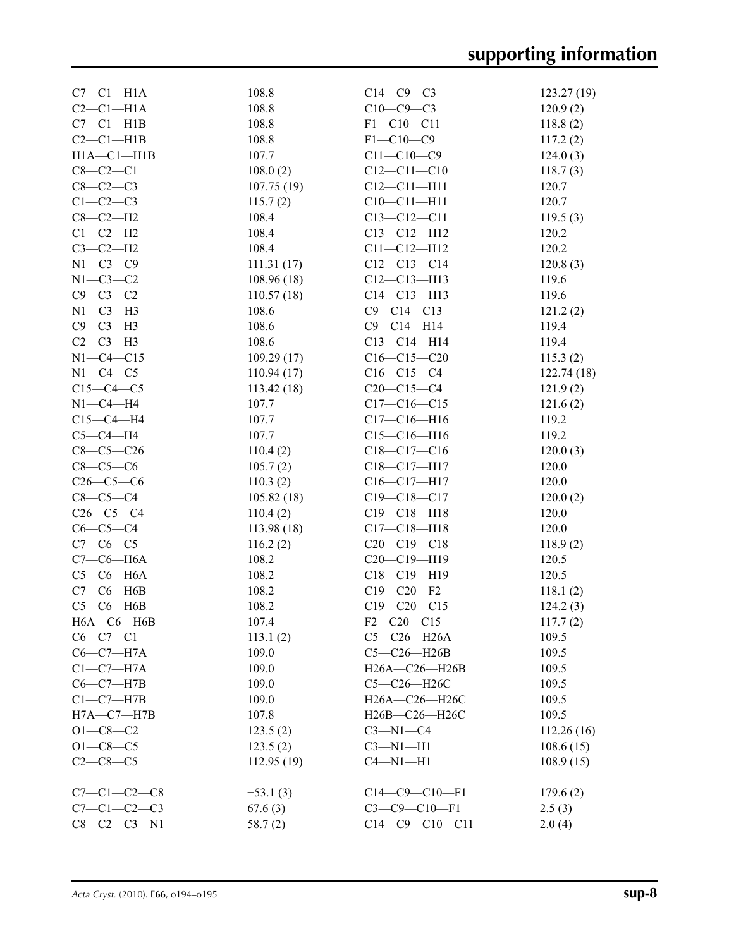| $C7-C1-H1A$         | 108.8      | $C14-C9-C3$       | 123.27(19) |
|---------------------|------------|-------------------|------------|
| $C2-C1-H1A$         | 108.8      | $C10-C9-C3$       | 120.9(2)   |
| $C7-C1-H1B$         | 108.8      | $F1 - C10 - C11$  | 118.8(2)   |
| $C2-C1-H1B$         | 108.8      | $F1 - C10 - C9$   | 117.2(2)   |
| $H1A - C1 - H1B$    | 107.7      | $C11 - C10 - C9$  | 124.0(3)   |
| $C8-C2-C1$          | 108.0(2)   | $C12 - C11 - C10$ | 118.7(3)   |
| $C8-C2-C3$          | 107.75(19) | $C12 - C11 - H11$ | 120.7      |
| $C1-C2-C3$          | 115.7(2)   | $C10-C11-H11$     | 120.7      |
| $C8-C2-H2$          | 108.4      | $C13 - C12 - C11$ | 119.5(3)   |
| $C1-C2-H2$          | 108.4      | $C13 - C12 - H12$ | 120.2      |
| $C3-C2-H2$          | 108.4      | $C11 - C12 - H12$ | 120.2      |
| $N1-C3-C9$          | 111.31(17) | $C12-C13-C14$     | 120.8(3)   |
| $N1-C3-C2$          | 108.96(18) | $C12-C13-H13$     | 119.6      |
| $C9 - C3 - C2$      | 110.57(18) | $C14 - C13 - H13$ | 119.6      |
|                     | 108.6      |                   |            |
| $N1-C3-H3$          |            | $C9 - C14 - C13$  | 121.2(2)   |
| $C9 - C3 - H3$      | 108.6      | $C9 - C14 - H14$  | 119.4      |
| $C2-C3-H3$          | 108.6      | $C13 - C14 - H14$ | 119.4      |
| $N1-C4-C15$         | 109.29(17) | $C16-C15-C20$     | 115.3(2)   |
| $N1-C4-C5$          | 110.94(17) | $C16 - C15 - C4$  | 122.74(18) |
| $C15-C4-C5$         | 113.42(18) | $C20-C15-C4$      | 121.9(2)   |
| $N1-C4-H4$          | 107.7      | $C17-C16-C15$     | 121.6(2)   |
| $C15-C4-H4$         | 107.7      | $C17 - C16 - H16$ | 119.2      |
| $C5-C4-H4$          | 107.7      | $C15-C16-H16$     | 119.2      |
| $C8-C5-C26$         | 110.4(2)   | $C18 - C17 - C16$ | 120.0(3)   |
| $C8 - C5 - C6$      | 105.7(2)   | $C18 - C17 - H17$ | 120.0      |
| $C26-C5-C6$         | 110.3(2)   | $C16-C17-H17$     | 120.0      |
| $C8-C5-C4$          | 105.82(18) | $C19 - C18 - C17$ | 120.0(2)   |
| $C26-C5-C4$         | 110.4(2)   | $C19 - C18 - H18$ | 120.0      |
| $C6-C5-C4$          | 113.98(18) | $C17 - C18 - H18$ | 120.0      |
| $C7-C6-C5$          | 116.2(2)   | $C20-C19-C18$     | 118.9(2)   |
| $C7-C6-H6A$         | 108.2      | $C20-C19-H19$     | 120.5      |
| $C5-C6-H6A$         | 108.2      | $C18 - C19 - H19$ | 120.5      |
| $C7-C6-H6B$         | 108.2      | $C19 - C20 - F2$  | 118.1(2)   |
| $C5-C6-H6B$         | 108.2      | $C19 - C20 - C15$ | 124.2(3)   |
| $H6A - C6 - H6B$    | 107.4      | $F2-C20-C15$      | 117.7(2)   |
| $C6-C7-C1$          | 113.1(2)   | $C5-C26-H26A$     | 109.5      |
| $C6-C7-H7A$         | 109.0      | $C5-C26-H26B$     | 109.5      |
| $C1-C7-H7A$         | 109.0      | H26A-C26-H26B     | 109.5      |
| $C6-C7-H7B$         | 109.0      | C5-C26-H26C       | 109.5      |
| $C1-C7-H7B$         | 109.0      | H26A-C26-H26C     | 109.5      |
| $H7A-C7-H7B$        | 107.8      | H26B-C26-H26C     | 109.5      |
| $O1 - C8 - C2$      | 123.5(2)   | $C3-M1-C4$        | 112.26(16) |
| $O1 - C8 - C5$      | 123.5(2)   | $C3-M1-H1$        | 108.6(15)  |
| $C2-C8-C5$          | 112.95(19) | $C4 - N1 - H1$    | 108.9(15)  |
|                     |            |                   |            |
| $C7 - C1 - C2 - C8$ | $-53.1(3)$ | $C14-C9-C10-F1$   | 179.6(2)   |
| $C7-C1-C2-C3$       | 67.6(3)    | $C3-C9-C10-F1$    | 2.5(3)     |
| $C8 - C2 - C3 - N1$ | 58.7(2)    | $C14-C9-C10-C11$  | 2.0(4)     |
|                     |            |                   |            |